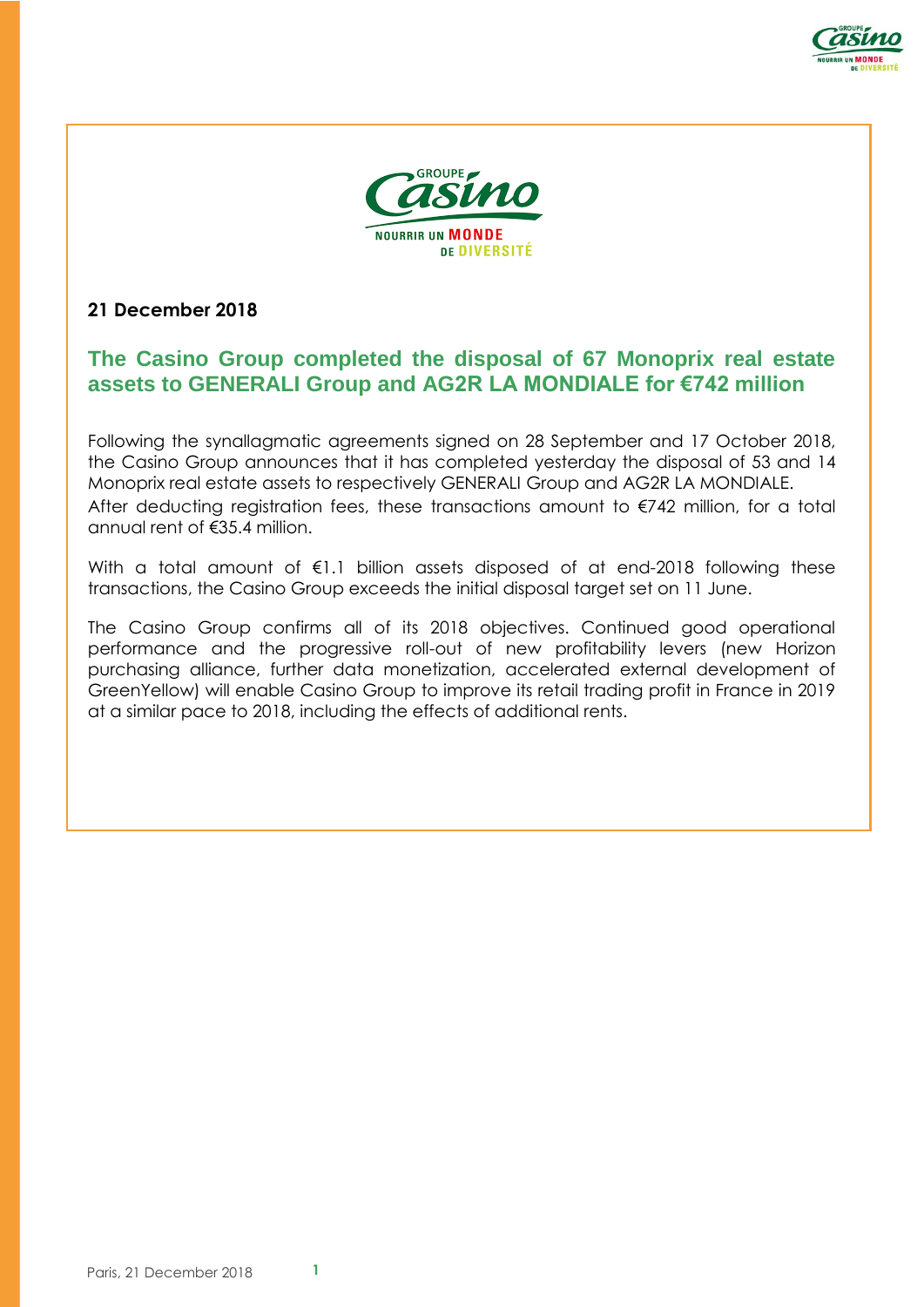



## **21 December 2018**

# **The Casino Group completed the disposal of 67 Monoprix real estate assets to GENERALI Group and AG2R LA MONDIALE for €742 million**

Following the synallagmatic agreements signed on 28 September and 17 October 2018, the Casino Group announces that it has completed yesterday the disposal of 53 and 14 Monoprix real estate assets to respectively GENERALI Group and AG2R LA MONDIALE. After deducting registration fees, these transactions amount to €742 million, for a total annual rent of €35.4 million.

With a total amount of €1.1 billion assets disposed of at end-2018 following these transactions, the Casino Group exceeds the initial disposal target set on 11 June.

The Casino Group confirms all of its 2018 objectives. Continued good operational performance and the progressive roll-out of new profitability levers (new Horizon purchasing alliance, further data monetization, accelerated external development of GreenYellow) will enable Casino Group to improve its retail trading profit in France in 2019 at a similar pace to 2018, including the effects of additional rents.